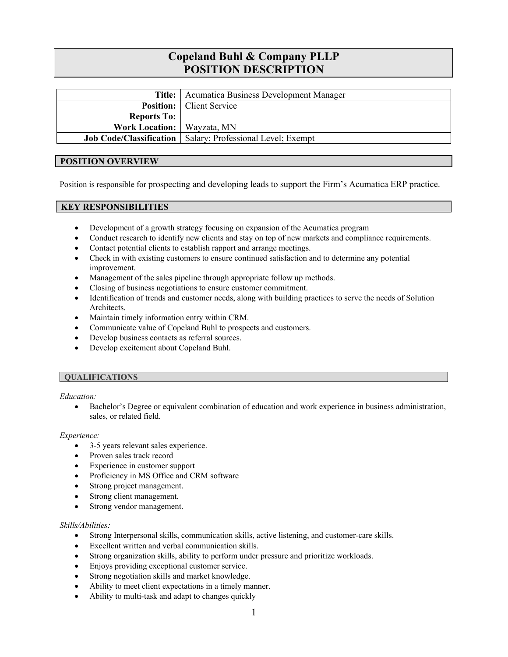# **Copeland Buhl & Company PLLP POSITION DESCRIPTION**

|                                     | <b>Title:</b>   Acumatica Business Development Manager              |
|-------------------------------------|---------------------------------------------------------------------|
|                                     | <b>Position:</b>   Client Service                                   |
| <b>Reports To:</b>                  |                                                                     |
| <b>Work Location:</b>   Wayzata, MN |                                                                     |
|                                     | <b>Job Code/Classification</b>   Salary; Professional Level; Exempt |

## **POSITION OVERVIEW**

Position is responsible for prospecting and developing leads to support the Firm's Acumatica ERP practice.

## **KEY RESPONSIBILITIES**

- Development of a growth strategy focusing on expansion of the Acumatica program
- Conduct research to identify new clients and stay on top of new markets and compliance requirements.
- Contact potential clients to establish rapport and arrange meetings.
- Check in with existing customers to ensure continued satisfaction and to determine any potential improvement.
- Management of the sales pipeline through appropriate follow up methods.
- Closing of business negotiations to ensure customer commitment.
- Identification of trends and customer needs, along with building practices to serve the needs of Solution Architects.
- Maintain timely information entry within CRM.
- Communicate value of Copeland Buhl to prospects and customers.
- Develop business contacts as referral sources.
- Develop excitement about Copeland Buhl.

### **QUALIFICATIONS**

*Education:* 

 Bachelor's Degree or equivalent combination of education and work experience in business administration, sales, or related field.

#### *Experience:*

- 3-5 years relevant sales experience.
- Proven sales track record
- Experience in customer support
- Proficiency in MS Office and CRM software
- Strong project management.
- Strong client management.
- Strong vendor management.

#### *Skills/Abilities:*

- Strong Interpersonal skills, communication skills, active listening, and customer-care skills.
- Excellent written and verbal communication skills.
- Strong organization skills, ability to perform under pressure and prioritize workloads.
- Enjoys providing exceptional customer service.
- Strong negotiation skills and market knowledge.
- Ability to meet client expectations in a timely manner.
- Ability to multi-task and adapt to changes quickly